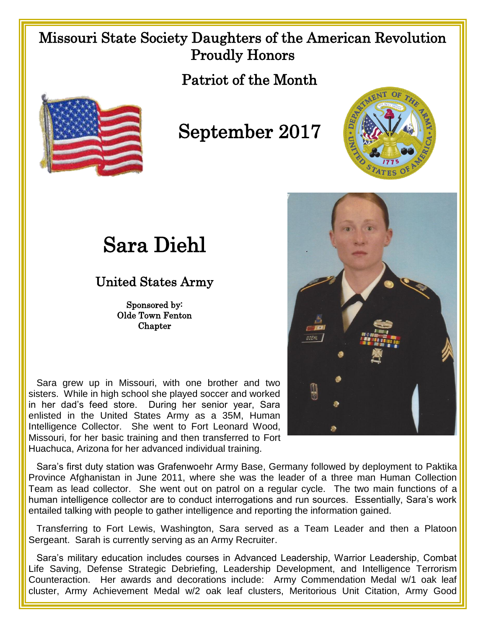## Missouri State Society Daughters of the American Revolution Proudly Honors

Patriot of the Month



## September 2017



## Sara Diehl

## United States Army

Sponsored by: Olde Town Fenton **Chapter** 

 Sara grew up in Missouri, with one brother and two sisters. While in high school she played soccer and worked in her dad's feed store. During her senior year, Sara enlisted in the United States Army as a 35M, Human Intelligence Collector. She went to Fort Leonard Wood, Missouri, for her basic training and then transferred to Fort Huachuca, Arizona for her advanced individual training.

 Sara's first duty station was Grafenwoehr Army Base, Germany followed by deployment to Paktika Province Afghanistan in June 2011, where she was the leader of a three man Human Collection Team as lead collector. She went out on patrol on a regular cycle. The two main functions of a human intelligence collector are to conduct interrogations and run sources. Essentially, Sara's work entailed talking with people to gather intelligence and reporting the information gained.

 Transferring to Fort Lewis, Washington, Sara served as a Team Leader and then a Platoon Sergeant. Sarah is currently serving as an Army Recruiter.

 Sara's military education includes courses in Advanced Leadership, Warrior Leadership, Combat Life Saving, Defense Strategic Debriefing, Leadership Development, and Intelligence Terrorism Counteraction. Her awards and decorations include: Army Commendation Medal w/1 oak leaf cluster, Army Achievement Medal w/2 oak leaf clusters, Meritorious Unit Citation, Army Good